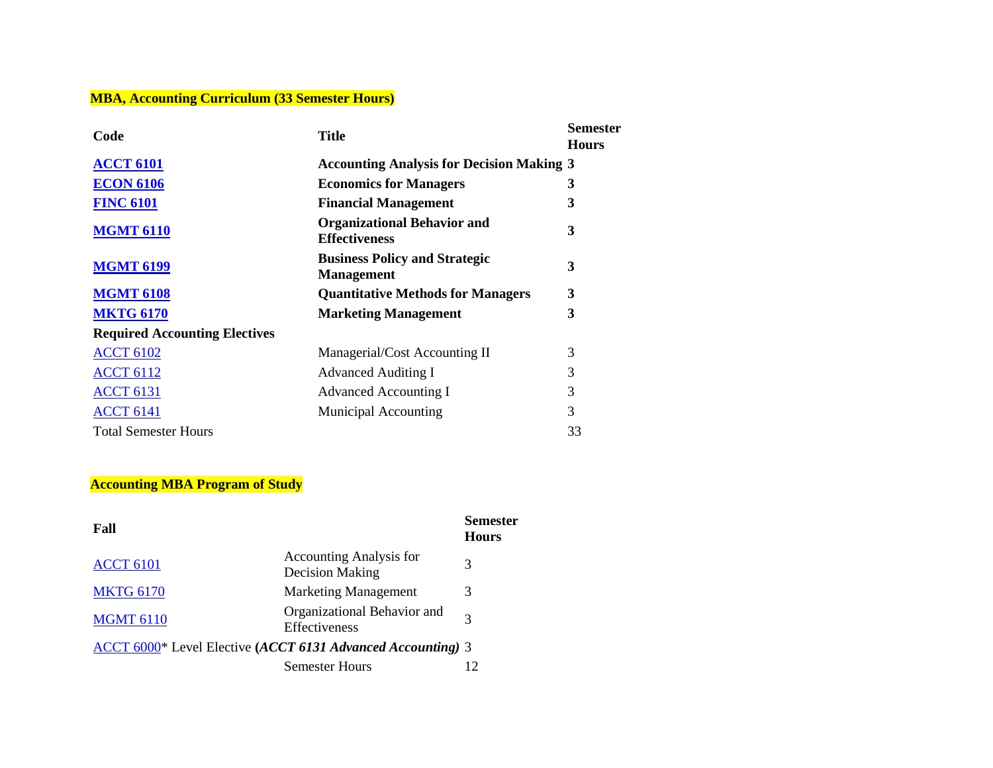## **MBA, Accounting Curriculum (33 Semester Hours)**

| Code                                 | <b>Title</b>                                               | <b>Semester</b><br><b>Hours</b> |
|--------------------------------------|------------------------------------------------------------|---------------------------------|
| <b>ACCT 6101</b>                     | <b>Accounting Analysis for Decision Making 3</b>           |                                 |
| <b>ECON 6106</b>                     | <b>Economics for Managers</b>                              | 3                               |
| <b>FINC 6101</b>                     | <b>Financial Management</b>                                | 3                               |
| <b>MGMT 6110</b>                     | <b>Organizational Behavior and</b><br><b>Effectiveness</b> | 3                               |
| <b>MGMT 6199</b>                     | <b>Business Policy and Strategic</b><br><b>Management</b>  | 3                               |
| <b>MGMT 6108</b>                     | <b>Quantitative Methods for Managers</b>                   | 3                               |
| <b>MKTG 6170</b>                     | <b>Marketing Management</b>                                | 3                               |
| <b>Required Accounting Electives</b> |                                                            |                                 |
| <b>ACCT 6102</b>                     | Managerial/Cost Accounting II                              | 3                               |
| <b>ACCT 6112</b>                     | <b>Advanced Auditing I</b>                                 | 3                               |
| <b>ACCT 6131</b>                     | <b>Advanced Accounting I</b>                               | 3                               |
| <b>ACCT 6141</b>                     | <b>Municipal Accounting</b>                                | 3                               |
| <b>Total Semester Hours</b>          |                                                            | 33                              |

## **Accounting MBA Program of Study**

| Fall                                                        |                                                          | Semester<br><b>Hours</b> |
|-------------------------------------------------------------|----------------------------------------------------------|--------------------------|
| <b>ACCT 6101</b>                                            | <b>Accounting Analysis for</b><br><b>Decision Making</b> | 3                        |
| <b>MKTG 6170</b>                                            | <b>Marketing Management</b>                              | 3                        |
| <b>MGMT 6110</b>                                            | Organizational Behavior and<br>Effectiveness             | 3                        |
| ACCT 6000* Level Elective (ACCT 6131 Advanced Accounting) 3 |                                                          |                          |
|                                                             | <b>Semester Hours</b>                                    |                          |